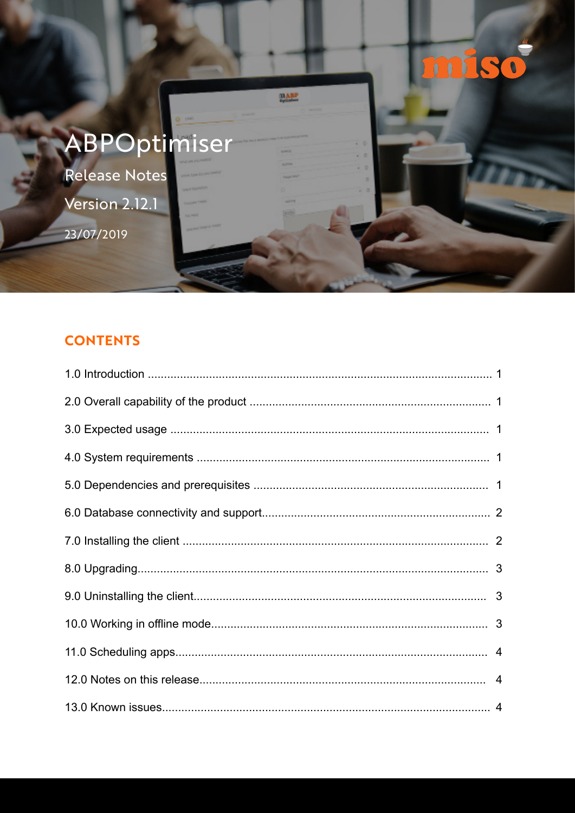

# **CONTENTS**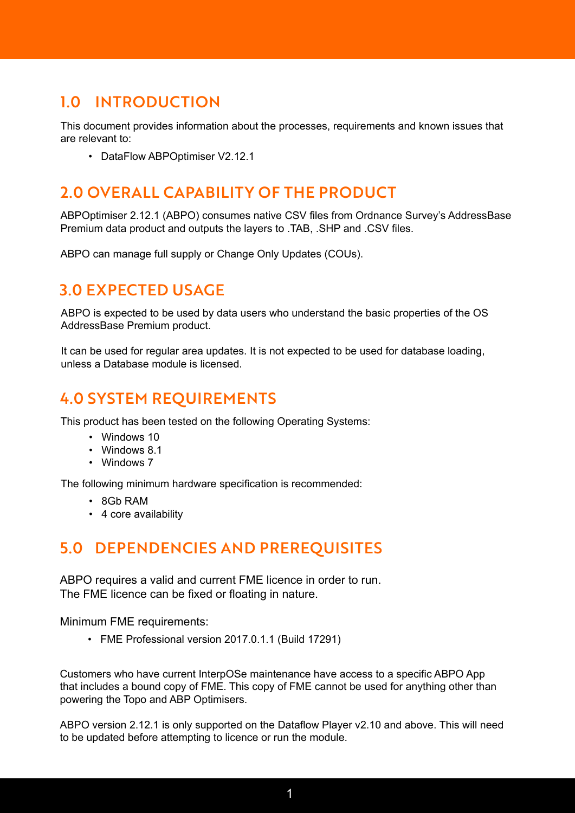# 1.0 INTRODUCTION

This document provides information about the processes, requirements and known issues that are relevant to:

• DataFlow ABPOptimiser V2.12.1

## 2.0 OVERALL CAPABILITY OF THE PRODUCT

ABPOptimiser 2.12.1 (ABPO) consumes native CSV files from Ordnance Survey's AddressBase Premium data product and outputs the layers to .TAB, .SHP and .CSV files.

ABPO can manage full supply or Change Only Updates (COUs).

## 3.0 EXPECTED USAGE

ABPO is expected to be used by data users who understand the basic properties of the OS AddressBase Premium product.

It can be used for regular area updates. It is not expected to be used for database loading, unless a Database module is licensed.

# 4.0 SYSTEM REQUIREMENTS

This product has been tested on the following Operating Systems:

- Windows 10
- Windows 8.1
- Windows 7

The following minimum hardware specification is recommended:

- 8Gb RAM
- 4 core availability

## 5.0 DEPENDENCIES AND PREREQUISITES

ABPO requires a valid and current FME licence in order to run. The FME licence can be fixed or floating in nature.

Minimum FME requirements:

• FME Professional version 2017.0.1.1 (Build 17291)

Customers who have current InterpOSe maintenance have access to a specific ABPO App that includes a bound copy of FME. This copy of FME cannot be used for anything other than powering the Topo and ABP Optimisers.

ABPO version 2.12.1 is only supported on the Dataflow Player v2.10 and above. This will need to be updated before attempting to licence or run the module.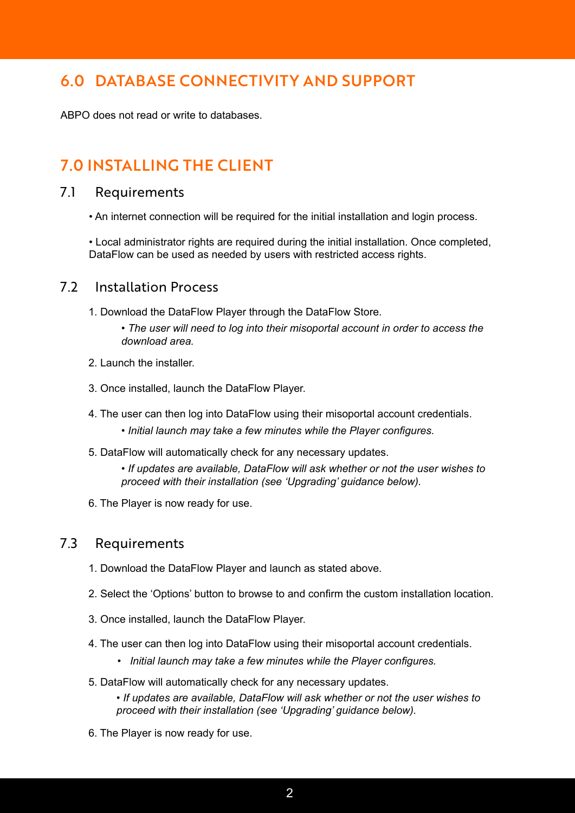## 6.0 DATABASE CONNECTIVITY AND SUPPORT

ABPO does not read or write to databases.

# 7.0 INSTALLING THE CLIENT

#### 7.1 Requirements

• An internet connection will be required for the initial installation and login process.

• Local administrator rights are required during the initial installation. Once completed, DataFlow can be used as needed by users with restricted access rights.

#### 7.2 Installation Process

- 1. Download the DataFlow Player through the DataFlow Store.
	- *The user will need to log into their misoportal account in order to access the download area.*
- 2. Launch the installer.
- 3. Once installed, launch the DataFlow Player.
- 4. The user can then log into DataFlow using their misoportal account credentials.
	- *Initial launch may take a few minutes while the Player configures.*
- 5. DataFlow will automatically check for any necessary updates.
	- *If updates are available, DataFlow will ask whether or not the user wishes to proceed with their installation (see 'Upgrading' guidance below).*
- 6. The Player is now ready for use.

#### 7.3 Requirements

- 1. Download the DataFlow Player and launch as stated above.
- 2. Select the 'Options' button to browse to and confirm the custom installation location.
- 3. Once installed, launch the DataFlow Player.
- 4. The user can then log into DataFlow using their misoportal account credentials.
	- *Initial launch may take a few minutes while the Player configures.*
- 5. DataFlow will automatically check for any necessary updates.

*• If updates are available, DataFlow will ask whether or not the user wishes to proceed with their installation (see 'Upgrading' guidance below).*

6. The Player is now ready for use.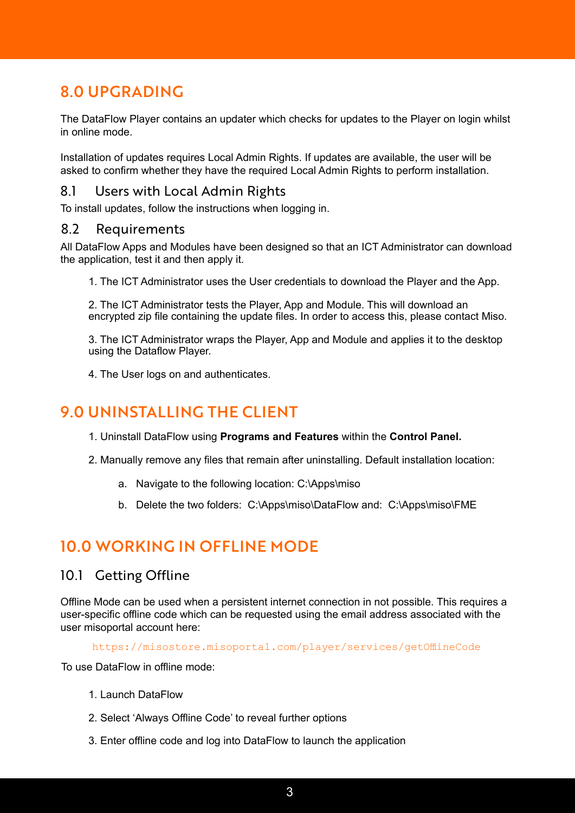# 8.0 UPGRADING

The DataFlow Player contains an updater which checks for updates to the Player on login whilst in online mode.

Installation of updates requires Local Admin Rights. If updates are available, the user will be asked to confirm whether they have the required Local Admin Rights to perform installation.

## 8.1 Users with Local Admin Rights

To install updates, follow the instructions when logging in.

#### 8.2 Requirements

All DataFlow Apps and Modules have been designed so that an ICT Administrator can download the application, test it and then apply it.

1. The ICT Administrator uses the User credentials to download the Player and the App.

2. The ICT Administrator tests the Player, App and Module. This will download an encrypted zip file containing the update files. In order to access this, please contact Miso.

3. The ICT Administrator wraps the Player, App and Module and applies it to the desktop using the Dataflow Player.

4. The User logs on and authenticates.

## 9.0 UNINSTALLING THE CLIENT

- 1. Uninstall DataFlow using **Programs and Features** within the **Control Panel.**
- 2. Manually remove any files that remain after uninstalling. Default installation location:
	- a. Navigate to the following location: C:\Apps\miso
	- b. Delete the two folders: C:\Apps\miso\DataFlow and: C:\Apps\miso\FME

## 10.0 WORKING IN OFFLINE MODE

#### 10.1 Getting Offline

Offline Mode can be used when a persistent internet connection in not possible. This requires a user-specific offline code which can be requested using the email address associated with the user misoportal account here:

https://misostore.misoportal.com/player/services/getOfflineCode

To use DataFlow in offline mode:

- 1. Launch DataFlow
- 2. Select 'Always Offline Code' to reveal further options
- 3. Enter offline code and log into DataFlow to launch the application